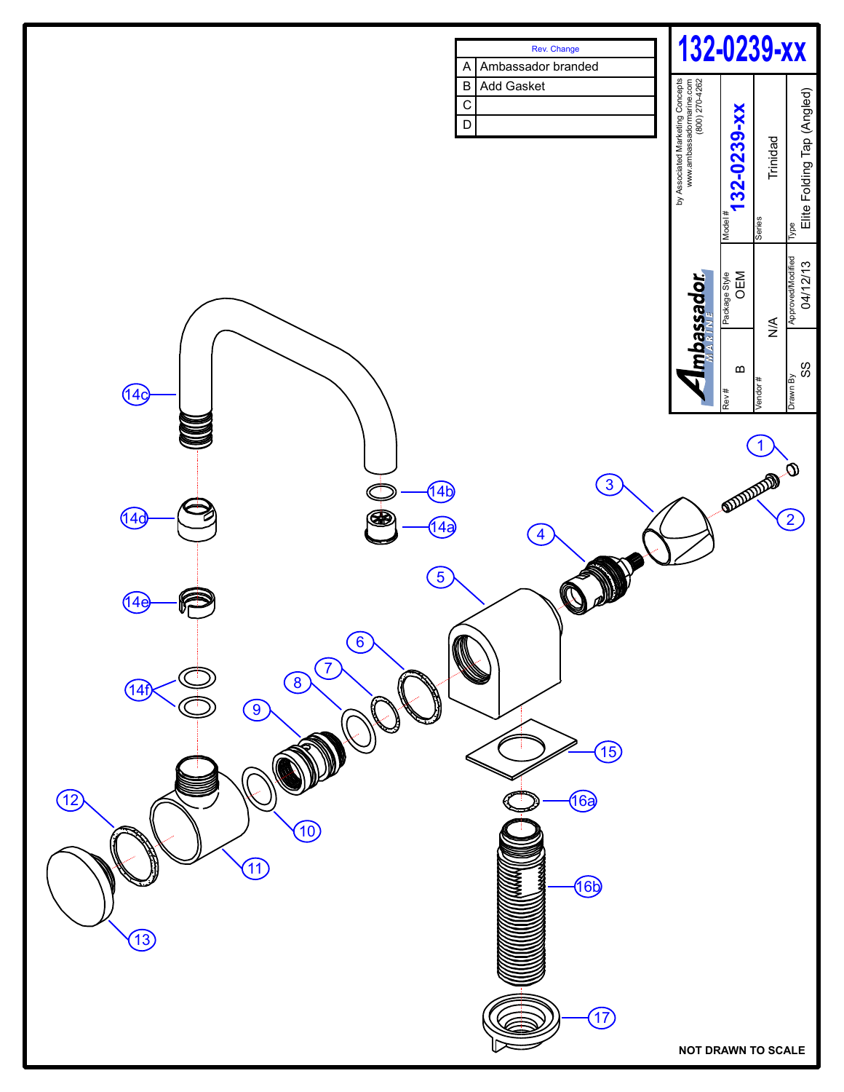